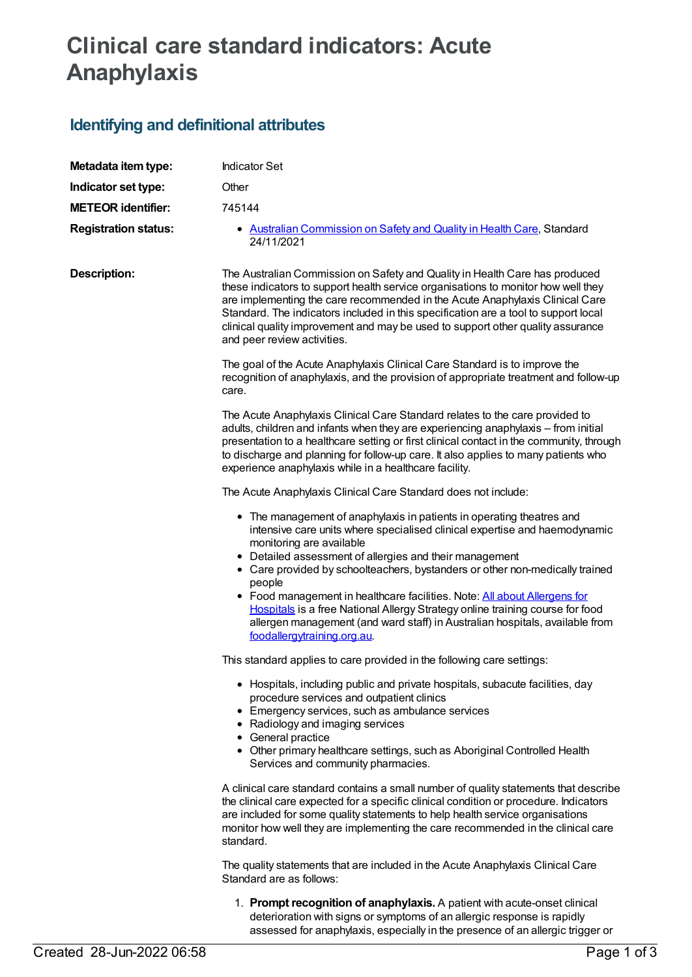# **Clinical care standard indicators: Acute Anaphylaxis**

## **Identifying and definitional attributes**

| Metadata item type:         | <b>Indicator Set</b>                                                                                                                                                                                                                                                                                                                                                                                                                                                                                                                                                                                              |
|-----------------------------|-------------------------------------------------------------------------------------------------------------------------------------------------------------------------------------------------------------------------------------------------------------------------------------------------------------------------------------------------------------------------------------------------------------------------------------------------------------------------------------------------------------------------------------------------------------------------------------------------------------------|
| Indicator set type:         | Other                                                                                                                                                                                                                                                                                                                                                                                                                                                                                                                                                                                                             |
| <b>METEOR identifier:</b>   | 745144                                                                                                                                                                                                                                                                                                                                                                                                                                                                                                                                                                                                            |
| <b>Registration status:</b> | • Australian Commission on Safety and Quality in Health Care, Standard<br>24/11/2021                                                                                                                                                                                                                                                                                                                                                                                                                                                                                                                              |
| <b>Description:</b>         | The Australian Commission on Safety and Quality in Health Care has produced<br>these indicators to support health service organisations to monitor how well they<br>are implementing the care recommended in the Acute Anaphylaxis Clinical Care<br>Standard. The indicators included in this specification are a tool to support local<br>clinical quality improvement and may be used to support other quality assurance<br>and peer review activities.                                                                                                                                                         |
|                             | The goal of the Acute Anaphylaxis Clinical Care Standard is to improve the<br>recognition of anaphylaxis, and the provision of appropriate treatment and follow-up<br>care.                                                                                                                                                                                                                                                                                                                                                                                                                                       |
|                             | The Acute Anaphylaxis Clinical Care Standard relates to the care provided to<br>adults, children and infants when they are experiencing anaphylaxis - from initial<br>presentation to a healthcare setting or first clinical contact in the community, through<br>to discharge and planning for follow-up care. It also applies to many patients who<br>experience anaphylaxis while in a healthcare facility.                                                                                                                                                                                                    |
|                             | The Acute Anaphylaxis Clinical Care Standard does not include:                                                                                                                                                                                                                                                                                                                                                                                                                                                                                                                                                    |
|                             | • The management of anaphylaxis in patients in operating theatres and<br>intensive care units where specialised clinical expertise and haemodynamic<br>monitoring are available<br>• Detailed assessment of allergies and their management<br>• Care provided by schoolteachers, bystanders or other non-medically trained<br>people<br>• Food management in healthcare facilities. Note: All about Allergens for<br>Hospitals is a free National Allergy Strategy online training course for food<br>allergen management (and ward staff) in Australian hospitals, available from<br>foodallergytraining.org.au. |
|                             | This standard applies to care provided in the following care settings:                                                                                                                                                                                                                                                                                                                                                                                                                                                                                                                                            |
|                             | • Hospitals, including public and private hospitals, subacute facilities, day<br>procedure services and outpatient clinics<br>• Emergency services, such as ambulance services<br>• Radiology and imaging services<br>• General practice<br>• Other primary healthcare settings, such as Aboriginal Controlled Health<br>Services and community pharmacies.                                                                                                                                                                                                                                                       |
|                             | A clinical care standard contains a small number of quality statements that describe<br>the clinical care expected for a specific clinical condition or procedure. Indicators<br>are included for some quality statements to help health service organisations<br>monitor how well they are implementing the care recommended in the clinical care<br>standard.                                                                                                                                                                                                                                                   |
|                             | The quality statements that are included in the Acute Anaphylaxis Clinical Care<br>Standard are as follows:                                                                                                                                                                                                                                                                                                                                                                                                                                                                                                       |
|                             | 1. Prompt recognition of anaphylaxis. A patient with acute-onset clinical<br>deterioration with signs or symptoms of an allergic response is rapidly<br>assessed for anaphylaxis, especially in the presence of an allergic trigger or                                                                                                                                                                                                                                                                                                                                                                            |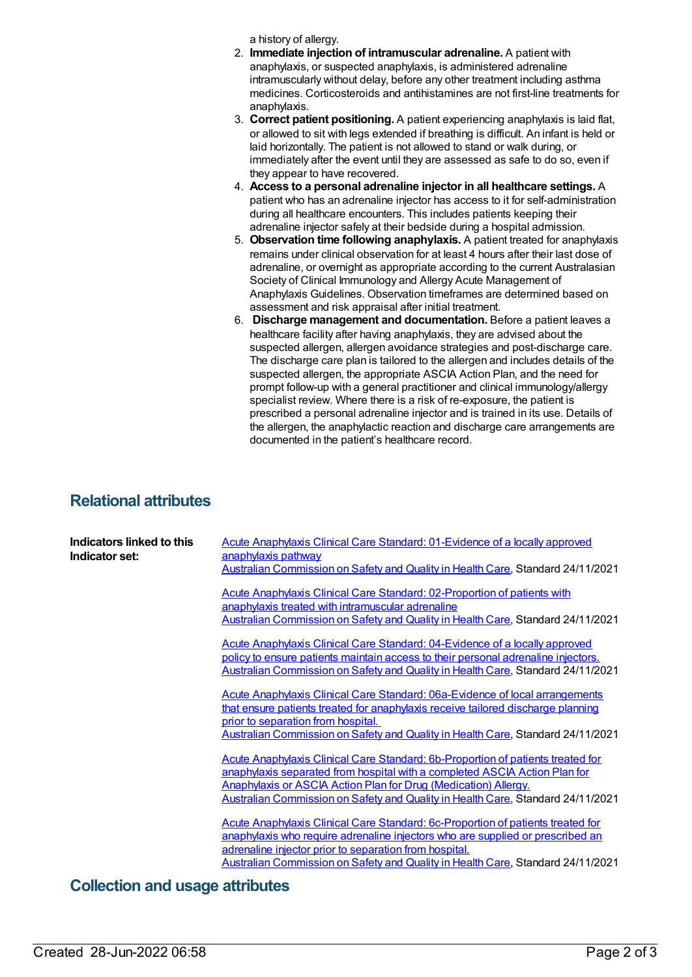a history of allergy.

- 2. **Immediate injection of intramuscular adrenaline.** A patient with anaphylaxis, or suspected anaphylaxis, is administered adrenaline intramuscularly without delay, before any other treatment including asthma medicines. Corticosteroids and antihistamines are not first-line treatments for anaphylaxis.
- 3. **Correct patient positioning.** A patient experiencing anaphylaxis is laid flat, or allowed to sit with legs extended if breathing is difficult. An infant is held or laid horizontally. The patient is not allowed to stand or walk during, or immediately after the event until they are assessed as safe to do so, even if they appear to have recovered.
- 4. **Access to a personal adrenaline injector in all healthcare settings.** A patient who has an adrenaline injector has access to it for self-administration during all healthcare encounters. This includes patients keeping their adrenaline injector safely at their bedside during a hospital admission.
- 5. **Observation time following anaphylaxis.** A patient treated for anaphylaxis remains under clinical observation for at least 4 hours after their last dose of adrenaline, or overnight as appropriate according to the current Australasian Society of Clinical Immunology and Allergy Acute Management of Anaphylaxis Guidelines. Observation timeframes are determined based on assessment and risk appraisal after initial treatment.
- 6. **Discharge management and documentation.** Before a patient leaves a healthcare facility after having anaphylaxis, they are advised about the suspected allergen, allergen avoidance strategies and post-discharge care. The discharge care plan is tailored to the allergen and includes details of the suspected allergen, the appropriate ASCIA Action Plan, and the need for prompt follow-up with a general practitioner and clinical immunology/allergy specialist review. Where there is a risk of re-exposure, the patient is prescribed a personal adrenaline injector and is trained in its use. Details of the allergen, the anaphylactic reaction and discharge care arrangements are documented in the patient's healthcare record.

### **Relational attributes**

| Indicators linked to this<br>Indicator set: | <b>Acute Anaphylaxis Clinical Care Standard: 01-Evidence of a locally approved</b><br>anaphylaxis pathway<br>Australian Commission on Safety and Quality in Health Care, Standard 24/11/2021                                                                                                                                      |
|---------------------------------------------|-----------------------------------------------------------------------------------------------------------------------------------------------------------------------------------------------------------------------------------------------------------------------------------------------------------------------------------|
|                                             | <b>Acute Anaphylaxis Clinical Care Standard: 02-Proportion of patients with</b><br>anaphylaxis treated with intramuscular adrenaline<br>Australian Commission on Safety and Quality in Health Care, Standard 24/11/2021                                                                                                           |
|                                             | <b>Acute Anaphylaxis Clinical Care Standard: 04-Evidence of a locally approved</b><br>policy to ensure patients maintain access to their personal adrenaline injectors.<br>Australian Commission on Safety and Quality in Health Care, Standard 24/11/2021                                                                        |
|                                             | <b>Acute Anaphylaxis Clinical Care Standard: 06a-Evidence of local arrangements</b><br>that ensure patients treated for anaphylaxis receive tailored discharge planning<br>prior to separation from hospital.<br>Australian Commission on Safety and Quality in Health Care, Standard 24/11/2021                                  |
|                                             | <b>Acute Anaphylaxis Clinical Care Standard: 6b-Proportion of patients treated for</b><br>anaphylaxis separated from hospital with a completed ASCIA Action Plan for<br><b>Anaphylaxis or ASCIA Action Plan for Drug (Medication) Allergy.</b><br>Australian Commission on Safety and Quality in Health Care, Standard 24/11/2021 |
|                                             | <b>Acute Anaphylaxis Clinical Care Standard: 6c-Proportion of patients treated for</b><br>anaphylaxis who require adrenaline injectors who are supplied or prescribed an<br>adrenaline injector prior to separation from hospital.<br>Australian Commission on Safety and Quality in Health Care, Standard 24/11/2021             |

### **Collection and usage attributes**